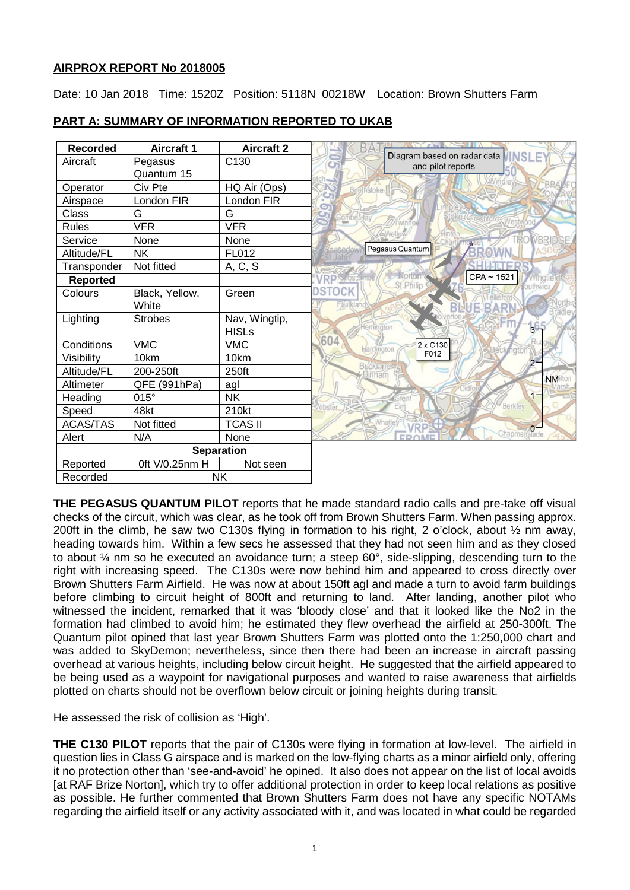## **AIRPROX REPORT No 2018005**

Date: 10 Jan 2018 Time: 1520Z Position: 5118N 00218W Location: Brown Shutters Farm

| <b>Recorded</b>   | <b>Aircraft 1</b> | <b>Aircraft 2</b> | Diagram based on radar data                                |
|-------------------|-------------------|-------------------|------------------------------------------------------------|
| Aircraft          | Pegasus           | C130              | <b>INSLE</b><br>and pilot reports                          |
|                   | Quantum 15        |                   |                                                            |
| Operator          | Civ Pte           | HQ Air (Ops)      | <b>Southstoke</b>                                          |
| Airspace          | London FIR        | London FIR        | $\bullet$                                                  |
| Class             | G                 | G                 |                                                            |
| Rules             | <b>VFR</b>        | <b>VFR</b>        | <b>SWellow</b>                                             |
| Service           | None              | None              | VBRIDGE                                                    |
| Altitude/FL       | <b>NK</b>         | FL012             | Pegasus Quantum                                            |
| Transponder       | Not fitted        | A, C, S           |                                                            |
| <b>Reported</b>   |                   |                   | $CPA \sim 1521$<br>Mingtie<br>St.Philip<br><b>outhwick</b> |
| Colours           | Black, Yellow,    | Green             | <b>STOCK</b>                                               |
|                   | White             |                   | Faulkland<br>厇                                             |
| Lighting          | <b>Strobes</b>    | Nav, Wingtip,     |                                                            |
|                   |                   | <b>HISLs</b>      | Heminaton<br>в.                                            |
| Conditions        | <b>VMC</b>        | <b>VMC</b>        | 604<br>2 x C130<br>hardington                              |
| Visibility        | 10km              | 10km              | F012                                                       |
| Altitude/FL       | 200-250ft         | 250ft             | <b>Bucklandw</b><br>Inham                                  |
| Altimeter         | QFE (991hPa)      | agl               | <b>NM</b> ilton                                            |
| Heading           | 015°              | <b>NK</b>         | $1 -$                                                      |
| Speed             | 48kt              | 210kt             | Berkley<br>obster.                                         |
| <b>ACAS/TAS</b>   | Not fitted        | <b>TCAS II</b>    | Whatle                                                     |
| Alert             | N/A               | None              | Chapmanslade                                               |
| <b>Separation</b> |                   |                   |                                                            |
| Reported          | 0ft V/0.25nm H    | Not seen          |                                                            |
| Recorded          | <b>NK</b>         |                   |                                                            |

# **PART A: SUMMARY OF INFORMATION REPORTED TO UKAB**

**THE PEGASUS QUANTUM PILOT** reports that he made standard radio calls and pre-take off visual checks of the circuit, which was clear, as he took off from Brown Shutters Farm. When passing approx. 200ft in the climb, he saw two C130s flying in formation to his right, 2 o'clock, about ½ nm away, heading towards him. Within a few secs he assessed that they had not seen him and as they closed to about ¼ nm so he executed an avoidance turn; a steep 60°, side-slipping, descending turn to the right with increasing speed. The C130s were now behind him and appeared to cross directly over Brown Shutters Farm Airfield. He was now at about 150ft agl and made a turn to avoid farm buildings before climbing to circuit height of 800ft and returning to land. After landing, another pilot who witnessed the incident, remarked that it was 'bloody close' and that it looked like the No2 in the formation had climbed to avoid him; he estimated they flew overhead the airfield at 250-300ft. The Quantum pilot opined that last year Brown Shutters Farm was plotted onto the 1:250,000 chart and was added to SkyDemon; nevertheless, since then there had been an increase in aircraft passing overhead at various heights, including below circuit height. He suggested that the airfield appeared to be being used as a waypoint for navigational purposes and wanted to raise awareness that airfields plotted on charts should not be overflown below circuit or joining heights during transit.

He assessed the risk of collision as 'High'.

**THE C130 PILOT** reports that the pair of C130s were flying in formation at low-level. The airfield in question lies in Class G airspace and is marked on the low-flying charts as a minor airfield only, offering it no protection other than 'see-and-avoid' he opined. It also does not appear on the list of local avoids [at RAF Brize Norton], which try to offer additional protection in order to keep local relations as positive as possible. He further commented that Brown Shutters Farm does not have any specific NOTAMs regarding the airfield itself or any activity associated with it, and was located in what could be regarded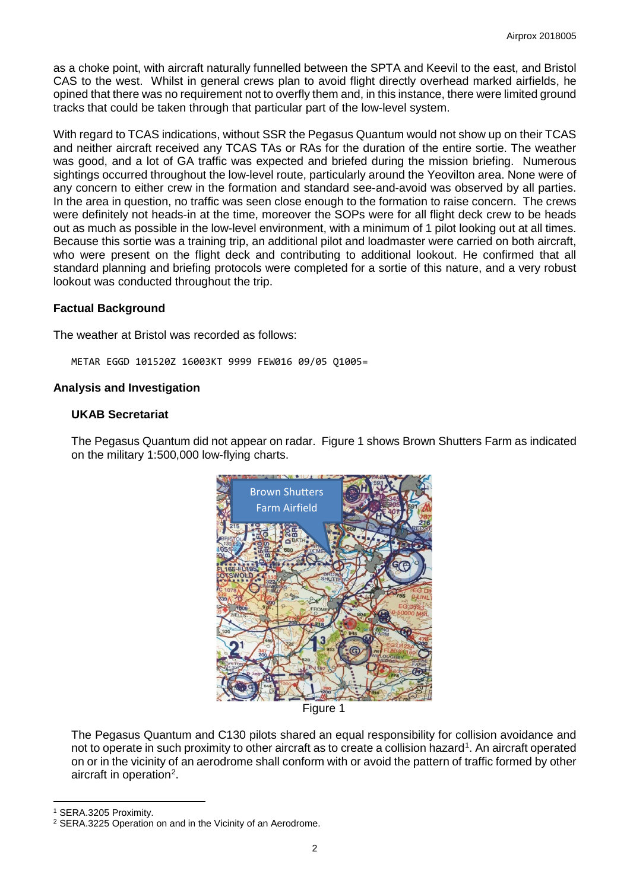as a choke point, with aircraft naturally funnelled between the SPTA and Keevil to the east, and Bristol CAS to the west. Whilst in general crews plan to avoid flight directly overhead marked airfields, he opined that there was no requirement not to overfly them and, in this instance, there were limited ground tracks that could be taken through that particular part of the low-level system.

With regard to TCAS indications, without SSR the Pegasus Quantum would not show up on their TCAS and neither aircraft received any TCAS TAs or RAs for the duration of the entire sortie. The weather was good, and a lot of GA traffic was expected and briefed during the mission briefing. Numerous sightings occurred throughout the low-level route, particularly around the Yeovilton area. None were of any concern to either crew in the formation and standard see-and-avoid was observed by all parties. In the area in question, no traffic was seen close enough to the formation to raise concern. The crews were definitely not heads-in at the time, moreover the SOPs were for all flight deck crew to be heads out as much as possible in the low-level environment, with a minimum of 1 pilot looking out at all times. Because this sortie was a training trip, an additional pilot and loadmaster were carried on both aircraft, who were present on the flight deck and contributing to additional lookout. He confirmed that all standard planning and briefing protocols were completed for a sortie of this nature, and a very robust lookout was conducted throughout the trip.

## **Factual Background**

The weather at Bristol was recorded as follows:

METAR EGGD 101520Z 16003KT 9999 FEW016 09/05 Q1005=

### **Analysis and Investigation**

### **UKAB Secretariat**

The Pegasus Quantum did not appear on radar. Figure 1 shows Brown Shutters Farm as indicated on the military 1:500,000 low-flying charts.



Figure 1

The Pegasus Quantum and C130 pilots shared an equal responsibility for collision avoidance and not to operate in such proximity to other aircraft as to create a collision hazard<sup>[1](#page-1-0)</sup>. An aircraft operated on or in the vicinity of an aerodrome shall conform with or avoid the pattern of traffic formed by other aircraft in operation<sup>[2](#page-1-1)</sup>.

<span id="page-1-0"></span><sup>1</sup> SERA.3205 Proximity.

l

<span id="page-1-1"></span><sup>2</sup> SERA.3225 Operation on and in the Vicinity of an Aerodrome.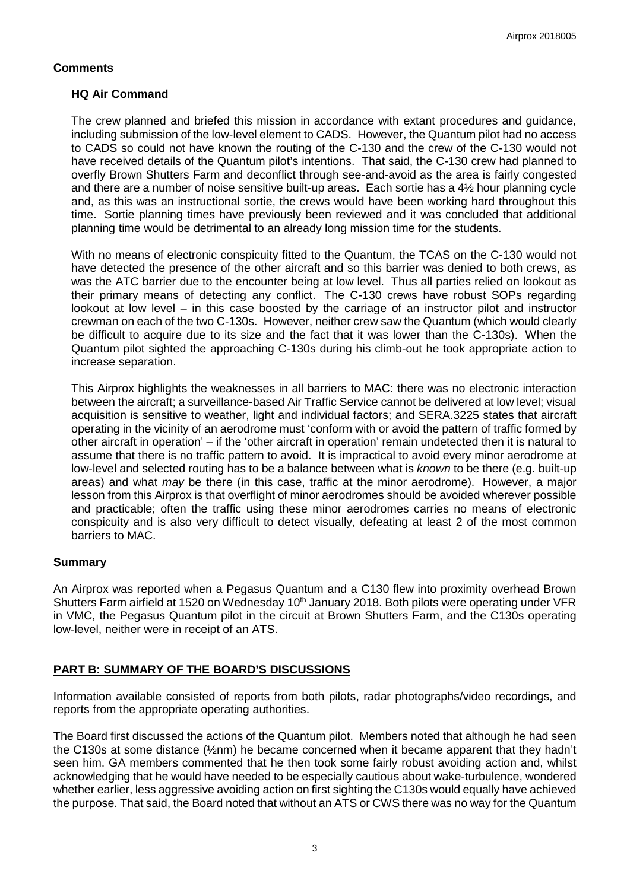## **Comments**

### **HQ Air Command**

The crew planned and briefed this mission in accordance with extant procedures and guidance, including submission of the low-level element to CADS. However, the Quantum pilot had no access to CADS so could not have known the routing of the C-130 and the crew of the C-130 would not have received details of the Quantum pilot's intentions. That said, the C-130 crew had planned to overfly Brown Shutters Farm and deconflict through see-and-avoid as the area is fairly congested and there are a number of noise sensitive built-up areas. Each sortie has a 4½ hour planning cycle and, as this was an instructional sortie, the crews would have been working hard throughout this time. Sortie planning times have previously been reviewed and it was concluded that additional planning time would be detrimental to an already long mission time for the students.

With no means of electronic conspicuity fitted to the Quantum, the TCAS on the C-130 would not have detected the presence of the other aircraft and so this barrier was denied to both crews, as was the ATC barrier due to the encounter being at low level. Thus all parties relied on lookout as their primary means of detecting any conflict. The C-130 crews have robust SOPs regarding lookout at low level – in this case boosted by the carriage of an instructor pilot and instructor crewman on each of the two C-130s. However, neither crew saw the Quantum (which would clearly be difficult to acquire due to its size and the fact that it was lower than the C-130s). When the Quantum pilot sighted the approaching C-130s during his climb-out he took appropriate action to increase separation.

This Airprox highlights the weaknesses in all barriers to MAC: there was no electronic interaction between the aircraft; a surveillance-based Air Traffic Service cannot be delivered at low level; visual acquisition is sensitive to weather, light and individual factors; and SERA.3225 states that aircraft operating in the vicinity of an aerodrome must 'conform with or avoid the pattern of traffic formed by other aircraft in operation' – if the 'other aircraft in operation' remain undetected then it is natural to assume that there is no traffic pattern to avoid. It is impractical to avoid every minor aerodrome at low-level and selected routing has to be a balance between what is *known* to be there (e.g. built-up areas) and what *may* be there (in this case, traffic at the minor aerodrome). However, a major lesson from this Airprox is that overflight of minor aerodromes should be avoided wherever possible and practicable; often the traffic using these minor aerodromes carries no means of electronic conspicuity and is also very difficult to detect visually, defeating at least 2 of the most common barriers to MAC.

## **Summary**

An Airprox was reported when a Pegasus Quantum and a C130 flew into proximity overhead Brown Shutters Farm airfield at 1520 on Wednesday 10<sup>th</sup> January 2018. Both pilots were operating under VFR in VMC, the Pegasus Quantum pilot in the circuit at Brown Shutters Farm, and the C130s operating low-level, neither were in receipt of an ATS.

## **PART B: SUMMARY OF THE BOARD'S DISCUSSIONS**

Information available consisted of reports from both pilots, radar photographs/video recordings, and reports from the appropriate operating authorities.

The Board first discussed the actions of the Quantum pilot. Members noted that although he had seen the C130s at some distance (½nm) he became concerned when it became apparent that they hadn't seen him. GA members commented that he then took some fairly robust avoiding action and, whilst acknowledging that he would have needed to be especially cautious about wake-turbulence, wondered whether earlier, less aggressive avoiding action on first sighting the C130s would equally have achieved the purpose. That said, the Board noted that without an ATS or CWS there was no way for the Quantum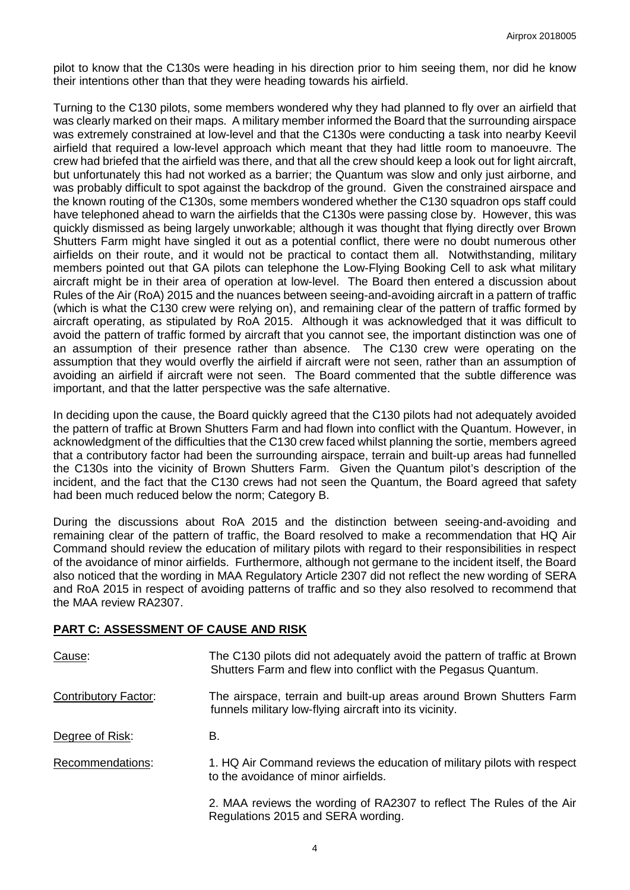pilot to know that the C130s were heading in his direction prior to him seeing them, nor did he know their intentions other than that they were heading towards his airfield.

Turning to the C130 pilots, some members wondered why they had planned to fly over an airfield that was clearly marked on their maps. A military member informed the Board that the surrounding airspace was extremely constrained at low-level and that the C130s were conducting a task into nearby Keevil airfield that required a low-level approach which meant that they had little room to manoeuvre. The crew had briefed that the airfield was there, and that all the crew should keep a look out for light aircraft, but unfortunately this had not worked as a barrier; the Quantum was slow and only just airborne, and was probably difficult to spot against the backdrop of the ground. Given the constrained airspace and the known routing of the C130s, some members wondered whether the C130 squadron ops staff could have telephoned ahead to warn the airfields that the C130s were passing close by. However, this was quickly dismissed as being largely unworkable; although it was thought that flying directly over Brown Shutters Farm might have singled it out as a potential conflict, there were no doubt numerous other airfields on their route, and it would not be practical to contact them all. Notwithstanding, military members pointed out that GA pilots can telephone the Low-Flying Booking Cell to ask what military aircraft might be in their area of operation at low-level. The Board then entered a discussion about Rules of the Air (RoA) 2015 and the nuances between seeing-and-avoiding aircraft in a pattern of traffic (which is what the C130 crew were relying on), and remaining clear of the pattern of traffic formed by aircraft operating, as stipulated by RoA 2015. Although it was acknowledged that it was difficult to avoid the pattern of traffic formed by aircraft that you cannot see, the important distinction was one of an assumption of their presence rather than absence. The C130 crew were operating on the assumption that they would overfly the airfield if aircraft were not seen, rather than an assumption of avoiding an airfield if aircraft were not seen. The Board commented that the subtle difference was important, and that the latter perspective was the safe alternative.

In deciding upon the cause, the Board quickly agreed that the C130 pilots had not adequately avoided the pattern of traffic at Brown Shutters Farm and had flown into conflict with the Quantum. However, in acknowledgment of the difficulties that the C130 crew faced whilst planning the sortie, members agreed that a contributory factor had been the surrounding airspace, terrain and built-up areas had funnelled the C130s into the vicinity of Brown Shutters Farm. Given the Quantum pilot's description of the incident, and the fact that the C130 crews had not seen the Quantum, the Board agreed that safety had been much reduced below the norm; Category B.

During the discussions about RoA 2015 and the distinction between seeing-and-avoiding and remaining clear of the pattern of traffic, the Board resolved to make a recommendation that HQ Air Command should review the education of military pilots with regard to their responsibilities in respect of the avoidance of minor airfields. Furthermore, although not germane to the incident itself, the Board also noticed that the wording in MAA Regulatory Article 2307 did not reflect the new wording of SERA and RoA 2015 in respect of avoiding patterns of traffic and so they also resolved to recommend that the MAA review RA2307.

#### **PART C: ASSESSMENT OF CAUSE AND RISK**

| Cause:                      | The C130 pilots did not adequately avoid the pattern of traffic at Brown<br>Shutters Farm and flew into conflict with the Pegasus Quantum. |
|-----------------------------|--------------------------------------------------------------------------------------------------------------------------------------------|
| <b>Contributory Factor:</b> | The airspace, terrain and built-up areas around Brown Shutters Farm<br>funnels military low-flying aircraft into its vicinity.             |
| Degree of Risk:             | В.                                                                                                                                         |
| Recommendations:            | 1. HQ Air Command reviews the education of military pilots with respect<br>to the avoidance of minor airfields.                            |
|                             | 2. MAA reviews the wording of RA2307 to reflect The Rules of the Air<br>Regulations 2015 and SERA wording.                                 |